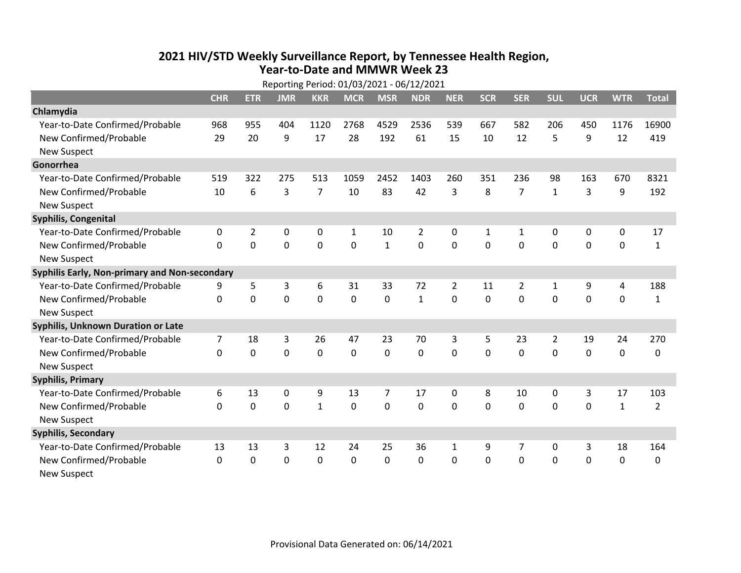## **2021 HIV /STD Weekly Surveillance Report, by Tennessee Health Region, Year‐to‐Date and MMWR Week 23**

|                                               | Reporting Period: 01/03/2021 - 06/12/2021 |                |             |                |              |              |                |                |              |                |                |             |              |                |
|-----------------------------------------------|-------------------------------------------|----------------|-------------|----------------|--------------|--------------|----------------|----------------|--------------|----------------|----------------|-------------|--------------|----------------|
|                                               | <b>CHR</b>                                | <b>ETR</b>     | <b>JMR</b>  | <b>KKR</b>     | <b>MCR</b>   | <b>MSR</b>   | <b>NDR</b>     | <b>NER</b>     | <b>SCR</b>   | <b>SER</b>     | <b>SUL</b>     | <b>UCR</b>  | <b>WTR</b>   | <b>Total</b>   |
| Chlamydia                                     |                                           |                |             |                |              |              |                |                |              |                |                |             |              |                |
| Year-to-Date Confirmed/Probable               | 968                                       | 955            | 404         | 1120           | 2768         | 4529         | 2536           | 539            | 667          | 582            | 206            | 450         | 1176         | 16900          |
| New Confirmed/Probable                        | 29                                        | 20             | 9           | 17             | 28           | 192          | 61             | 15             | 10           | 12             | 5              | 9           | 12           | 419            |
| <b>New Suspect</b>                            |                                           |                |             |                |              |              |                |                |              |                |                |             |              |                |
| Gonorrhea                                     |                                           |                |             |                |              |              |                |                |              |                |                |             |              |                |
| Year-to-Date Confirmed/Probable               | 519                                       | 322            | 275         | 513            | 1059         | 2452         | 1403           | 260            | 351          | 236            | 98             | 163         | 670          | 8321           |
| New Confirmed/Probable                        | 10                                        | 6              | 3           | $\overline{7}$ | 10           | 83           | 42             | 3              | 8            | $\overline{7}$ | $\mathbf{1}$   | 3           | 9            | 192            |
| <b>New Suspect</b>                            |                                           |                |             |                |              |              |                |                |              |                |                |             |              |                |
| <b>Syphilis, Congenital</b>                   |                                           |                |             |                |              |              |                |                |              |                |                |             |              |                |
| Year-to-Date Confirmed/Probable               | 0                                         | $\overline{2}$ | $\mathbf 0$ | 0              | $\mathbf{1}$ | 10           | $\overline{2}$ | 0              | $\mathbf{1}$ | $\mathbf{1}$   | $\mathbf 0$    | 0           | $\mathbf 0$  | 17             |
| New Confirmed/Probable                        | $\Omega$                                  | 0              | $\mathbf 0$ | 0              | $\mathbf 0$  | $\mathbf{1}$ | 0              | $\mathbf 0$    | 0            | 0              | $\mathbf 0$    | 0           | $\mathbf 0$  | 1              |
| <b>New Suspect</b>                            |                                           |                |             |                |              |              |                |                |              |                |                |             |              |                |
| Syphilis Early, Non-primary and Non-secondary |                                           |                |             |                |              |              |                |                |              |                |                |             |              |                |
| Year-to-Date Confirmed/Probable               | 9                                         | 5              | 3           | 6              | 31           | 33           | 72             | $\overline{2}$ | 11           | $\overline{2}$ | 1              | 9           | 4            | 188            |
| New Confirmed/Probable                        | $\mathbf 0$                               | 0              | $\mathbf 0$ | $\mathbf 0$    | $\mathbf 0$  | $\mathbf 0$  | $\mathbf{1}$   | $\mathbf 0$    | 0            | $\mathbf 0$    | $\mathbf 0$    | $\mathbf 0$ | $\mathbf 0$  | $\mathbf{1}$   |
| <b>New Suspect</b>                            |                                           |                |             |                |              |              |                |                |              |                |                |             |              |                |
| <b>Syphilis, Unknown Duration or Late</b>     |                                           |                |             |                |              |              |                |                |              |                |                |             |              |                |
| Year-to-Date Confirmed/Probable               | $\overline{7}$                            | 18             | 3           | 26             | 47           | 23           | 70             | 3              | 5            | 23             | $\overline{2}$ | 19          | 24           | 270            |
| New Confirmed/Probable                        | $\Omega$                                  | 0              | $\mathbf 0$ | 0              | $\mathbf 0$  | 0            | 0              | $\Omega$       | $\Omega$     | $\Omega$       | 0              | 0           | $\mathbf 0$  | 0              |
| <b>New Suspect</b>                            |                                           |                |             |                |              |              |                |                |              |                |                |             |              |                |
| <b>Syphilis, Primary</b>                      |                                           |                |             |                |              |              |                |                |              |                |                |             |              |                |
| Year-to-Date Confirmed/Probable               | 6                                         | 13             | $\mathbf 0$ | 9              | 13           | 7            | 17             | $\mathbf 0$    | 8            | 10             | 0              | 3           | 17           | 103            |
| New Confirmed/Probable                        | $\Omega$                                  | 0              | 0           | $\mathbf{1}$   | 0            | $\mathbf 0$  | 0              | $\Omega$       | $\mathbf{0}$ | 0              | $\mathbf{0}$   | 0           | $\mathbf{1}$ | $\overline{2}$ |
| <b>New Suspect</b>                            |                                           |                |             |                |              |              |                |                |              |                |                |             |              |                |
| <b>Syphilis, Secondary</b>                    |                                           |                |             |                |              |              |                |                |              |                |                |             |              |                |
| Year-to-Date Confirmed/Probable               | 13                                        | 13             | 3           | 12             | 24           | 25           | 36             | 1              | 9            | 7              | 0              | 3           | 18           | 164            |
| New Confirmed/Probable                        | $\mathbf 0$                               | 0              | 0           | 0              | $\mathbf 0$  | 0            | 0              | $\mathbf 0$    | 0            | 0              | $\mathbf 0$    | 0           | $\mathbf 0$  | $\Omega$       |
| <b>New Suspect</b>                            |                                           |                |             |                |              |              |                |                |              |                |                |             |              |                |